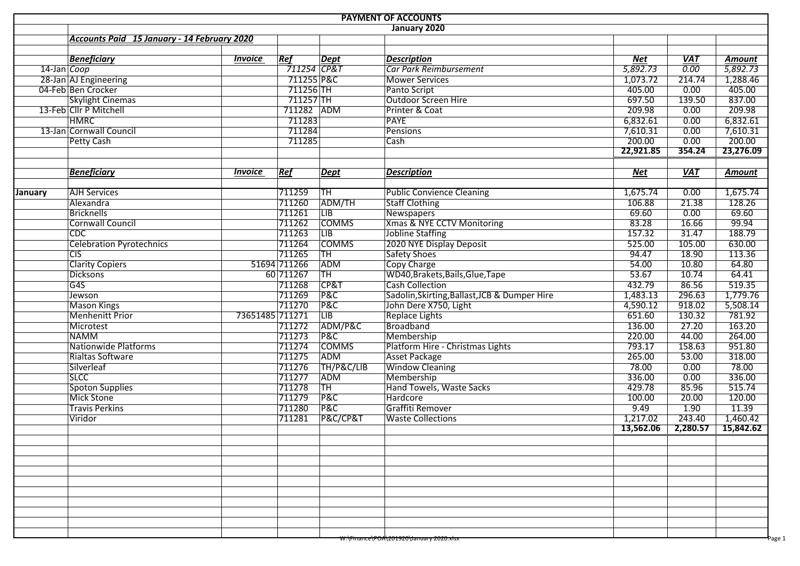|                |                                             |                 |                          |                        | <b>PAYMENT OF ACCOUNTS</b>                         |                       |            |                      |  |  |  |  |  |  |
|----------------|---------------------------------------------|-----------------|--------------------------|------------------------|----------------------------------------------------|-----------------------|------------|----------------------|--|--|--|--|--|--|
|                | January 2020                                |                 |                          |                        |                                                    |                       |            |                      |  |  |  |  |  |  |
|                | Accounts Paid 15 January - 14 February 2020 |                 |                          |                        |                                                    |                       |            |                      |  |  |  |  |  |  |
|                |                                             |                 |                          |                        |                                                    |                       |            |                      |  |  |  |  |  |  |
|                | <b>Beneficiary</b>                          | <b>Invoice</b>  | Ref                      | <b>Dept</b>            | <b>Description</b>                                 | Net                   | <b>VAT</b> | <b>Amount</b>        |  |  |  |  |  |  |
| 14-Jan Coop    |                                             |                 | $\overline{711254}$ CP&T |                        | Car Park Reimbursement                             | $\overline{5,892.73}$ | 0.00       | $\frac{1}{5,892.73}$ |  |  |  |  |  |  |
|                | 28-Jan AJ Engineering                       |                 | 711255 P&C               |                        | <b>Mower Services</b>                              | 1,073.72              | 214.74     | 1,288.46             |  |  |  |  |  |  |
|                | 04-Feb Ben Crocker                          |                 | $711256$ TH              |                        | Panto Script                                       | 405.00                | 0.00       | 405.00               |  |  |  |  |  |  |
|                | <b>Skylight Cinemas</b>                     |                 | 711257 TH                |                        | Outdoor Screen Hire                                | 697.50                | 139.50     | 837.00               |  |  |  |  |  |  |
|                | 13-Feb Cllr P Mitchell                      |                 | 711282 ADM               |                        | Printer & Coat                                     | 209.98                | 0.00       | 209.98               |  |  |  |  |  |  |
|                | <b>HMRC</b>                                 |                 | 711283                   |                        | <b>PAYE</b>                                        | 6,832.61              | 0.00       | 6,832.61             |  |  |  |  |  |  |
|                | 13-Jan Cornwall Council                     |                 | 711284                   |                        | Pensions                                           | 7,610.31              | 0.00       | 7,610.31             |  |  |  |  |  |  |
|                | <b>Petty Cash</b>                           |                 | 711285                   |                        | Cash                                               | 200.00                | 0.00       | 200.00               |  |  |  |  |  |  |
|                |                                             |                 |                          |                        |                                                    | 22,921.85             | 354.24     | 23,276.09            |  |  |  |  |  |  |
|                | <b>Beneficiary</b>                          | <b>Invoice</b>  | Ref                      | <b>Dept</b>            | <b>Description</b>                                 | <b>Net</b>            | <b>VAT</b> | <b>Amount</b>        |  |  |  |  |  |  |
|                |                                             |                 |                          |                        |                                                    |                       |            |                      |  |  |  |  |  |  |
| <b>January</b> | <b>AJH Services</b>                         |                 | 711259                   | TH                     | Public Convience Cleaning                          | 1,675.74              | 0.00       | 1,675.74             |  |  |  |  |  |  |
|                | Alexandra                                   |                 | 711260                   | ADM/TH                 | <b>Staff Clothing</b>                              | 106.88                | 21.38      | 128.26               |  |  |  |  |  |  |
|                | <b>Bricknells</b>                           |                 | 711261                   | $\overline{LIB}$       | Newspapers                                         | 69.60                 | 0.00       | 69.60                |  |  |  |  |  |  |
|                | <b>Cornwall Council</b>                     |                 | 711262                   | <b>COMMS</b>           | Xmas & NYE CCTV Monitoring                         | 83.28                 | 16.66      | 99.94                |  |  |  |  |  |  |
|                | CDC                                         |                 | 711263                   | $\overline{LB}$        | Jobline Staffing                                   | 157.32                | 31.47      | 188.79               |  |  |  |  |  |  |
|                | <b>Celebration Pyrotechnics</b>             |                 | 711264                   | <b>COMMS</b>           | 2020 NYE Display Deposit                           | 525.00                | 105.00     | 630.00               |  |  |  |  |  |  |
|                | $\overline{CIS}$                            |                 | 711265                   | TH                     | Safety Shoes                                       | 94.47                 | 18.90      | 113.36               |  |  |  |  |  |  |
|                | <b>Clarity Copiers</b>                      |                 | 51694 711266             | ADM                    | <b>Copy Charge</b>                                 | 54.00                 | 10.80      | 64.80                |  |  |  |  |  |  |
|                | <b>Dicksons</b>                             |                 | 60 711267                | <b>TH</b>              | WD40, Brakets, Bails, Glue, Tape                   | 53.67                 | 10.74      | 64.41                |  |  |  |  |  |  |
|                | G4S                                         |                 | 711268                   | CP&T                   | <b>Cash Collection</b>                             | 432.79                | 86.56      | 519.35               |  |  |  |  |  |  |
|                | Jewson                                      |                 | 711269                   | P&C                    | Sadolin, Skirting, Ballast, JCB & Dumper Hire      | 1,483.13              | 296.63     | 1,779.76             |  |  |  |  |  |  |
|                | <b>Mason Kings</b>                          |                 | 711270                   | <b>P&amp;C</b>         | John Dere X750, Light                              | 4,590.12              | 918.02     | 5,508.14             |  |  |  |  |  |  |
|                | <b>Menhenitt Prior</b>                      | 73651485 711271 |                          | $\overline{LB}$        | <b>Replace Lights</b>                              | 651.60                | 130.32     | 781.92               |  |  |  |  |  |  |
|                | Microtest                                   |                 | 711272                   | ADM/P&C                | Broadband                                          | 136.00                | 27.20      | 163.20               |  |  |  |  |  |  |
|                | <b>NAMM</b>                                 |                 | 711273                   | <b>P&amp;C</b>         | Membership                                         | 220.00                | 44.00      | 264.00               |  |  |  |  |  |  |
|                | <b>Nationwide Platforms</b>                 |                 | 711274                   | <b>COMMS</b>           | Platform Hire - Christmas Lights                   | 793.17                | 158.63     | 951.80               |  |  |  |  |  |  |
|                | Rialtas Software                            |                 | 711275                   | ADM                    | Asset Package                                      | 265.00                | 53.00      | 318.00               |  |  |  |  |  |  |
|                | Silverleaf                                  |                 | 711276                   | TH/P&C/LIB             | <b>Window Cleaning</b>                             | 78.00                 | 0.00       | 78.00                |  |  |  |  |  |  |
|                | <b>SLCC</b>                                 |                 | 711277                   | ADM                    | Membership                                         | 336.00                | 0.00       | 336.00               |  |  |  |  |  |  |
|                | <b>Spoton Supplies</b>                      |                 | 711278                   | $\overline{\text{TH}}$ | Hand Towels, Waste Sacks                           | 429.78                | 85.96      | 515.74               |  |  |  |  |  |  |
|                | <b>Mick Stone</b>                           |                 | 711279                   | P&C                    | Hardcore                                           | 100.00                | 20.00      | 120.00               |  |  |  |  |  |  |
|                | <b>Travis Perkins</b>                       |                 | 711280                   | <b>P&amp;C</b>         | Graffiti Remover                                   | 9.49                  | 1.90       | 11.39                |  |  |  |  |  |  |
|                | Viridor                                     |                 | 711281                   | P&C/CP&T               | <b>Waste Collections</b>                           | 1,217.02              | 243.40     | 1,460.42             |  |  |  |  |  |  |
|                |                                             |                 |                          |                        |                                                    | 13,562.06             | 2,280.57   | 15,842.62            |  |  |  |  |  |  |
|                |                                             |                 |                          |                        |                                                    |                       |            |                      |  |  |  |  |  |  |
|                |                                             |                 |                          |                        |                                                    |                       |            |                      |  |  |  |  |  |  |
|                |                                             |                 |                          |                        |                                                    |                       |            |                      |  |  |  |  |  |  |
|                |                                             |                 |                          |                        |                                                    |                       |            |                      |  |  |  |  |  |  |
|                |                                             |                 |                          |                        |                                                    |                       |            |                      |  |  |  |  |  |  |
|                |                                             |                 |                          |                        |                                                    |                       |            |                      |  |  |  |  |  |  |
|                |                                             |                 |                          |                        |                                                    |                       |            |                      |  |  |  |  |  |  |
|                |                                             |                 |                          |                        |                                                    |                       |            |                      |  |  |  |  |  |  |
|                |                                             |                 |                          |                        | <del>W:\Finance\POA\201920\January</del> 2020.xisx |                       |            | Page 1               |  |  |  |  |  |  |